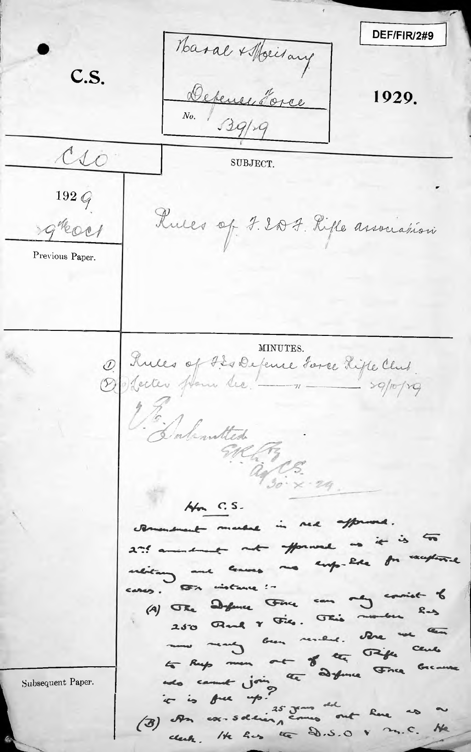DEF/FIR/2#9 Haral + Molitary  $C.S.$ Detener Torce 1929.  $80.139/x$  $\infty$ SUBJECT.  $192Q$ Ruces of J. 2007. Rifle association greech Previous Paper. MINUTES. Rules of How de feme toree Rifle Club.  $\mathcal{D}$ Dalenatted  $a_{130}c_{5}c_{4}a_{9}$  $A_{\mathsf{m}}$  C.S. and in med afform  $\frac{1}{2}$ Herman andment not no emp-like instance ! Defence Fince can  $(A)$   $\sigma_{Re}$ Read & File. This Due means been resided. to Rup men out of the Taife notes comment join le définie Fince Subsequent Paper. t is full up ? ex-soldiery comes out here  $(3)$  or clerk. He has the D.S.O V  $25.5$ **Ne**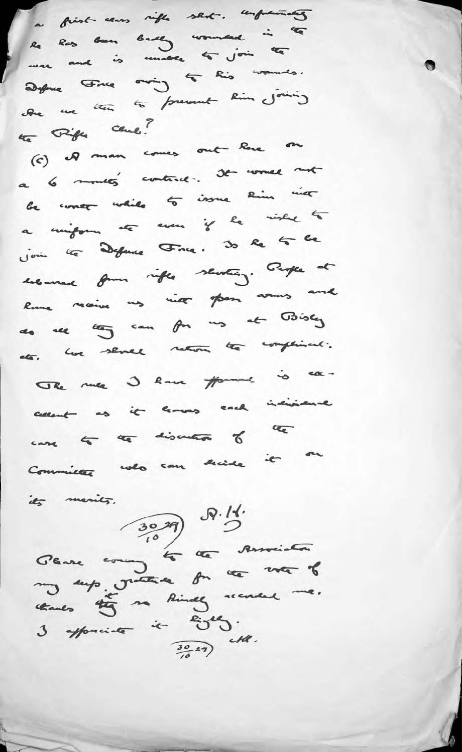a first cans rifle stat. unfuentes Re Ros Gan Gudg womand in the was and is under to join the Define Fine oning to his woman's. le me ten to prevent Rin joining the Fifth Cent ?

(c) Il man comes out leve on a 6 months' contract. It would not be concer while to issue him int a mighting etc even if he wished to Join le Défine Fine. 30 le 4 le encourance from rifle senting. People at Rome receive us vice from somes and do de log can for us at Bisey her senal return the compliment. eta. The me I know from is cacallent as it leaves each individual

case to the discussion of the Committee who can decide it on

its menits.

Seure 2007 5 5 Avril. my sup matters for the voter of thanks they so kindly scenere me.  $3$  approximate it  $\frac{2045}{10}$ .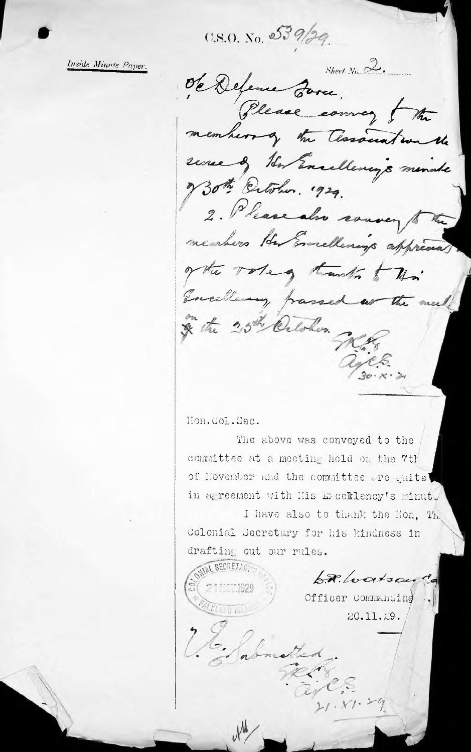$0.8.0.$  No.  $539/20$ 

Inside Minute Paper.

Sheet  $N_0$   $\mathbb{Z}$ . de Défence Parce. Please comey the members of the Association the une of the Excellency's minute Both Extohus. 1929. 2. Please also couver 18 nenhers Her Encellenings apprecial of the votes trusts this Encellenay franced as the meet & the 25th Celohor. WES.

Hon. Col. Sec.

The above was conveyed to the committee at a meeting held on the 7th of November and the committee are quite' in agreement with His Exceklency's minut,

I have also to thank the Hon. Th. Colonial Secretary for his kindness in drafting out our rules.

**WIAL SECRETARY!**  $AR.$ loatsa  $TC1929$ Officer Commanding KLALD RULL 20.11.29.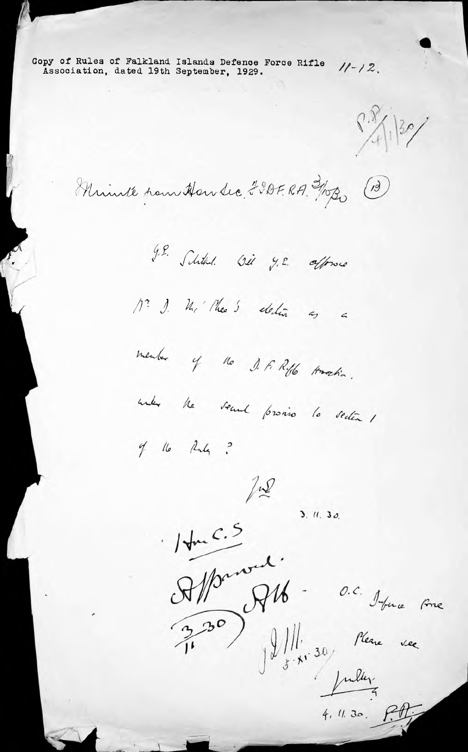Copy of Rules of Falkland Islands Defence Force Rifle  $11 - 12$ . Association, dated 19th September, 1929.

 $\frac{8.8}{1.130}$ 

Minute pour House 230FRA. 3/10B0 (13)

J.E. Schilled. Wil y.E. allowse

Mr J. M. Mea 5 election as a

member of the J.F. Riffe America.



 $4$  16 Rules ?



 $7.2$ <br>3. 11. 30.  $14mC.5$ 14me)<br>Alfred Alb - O.C. Image Fine<br>3,30) Ill. 16 Merie vec July

 $4, 4.30. P.$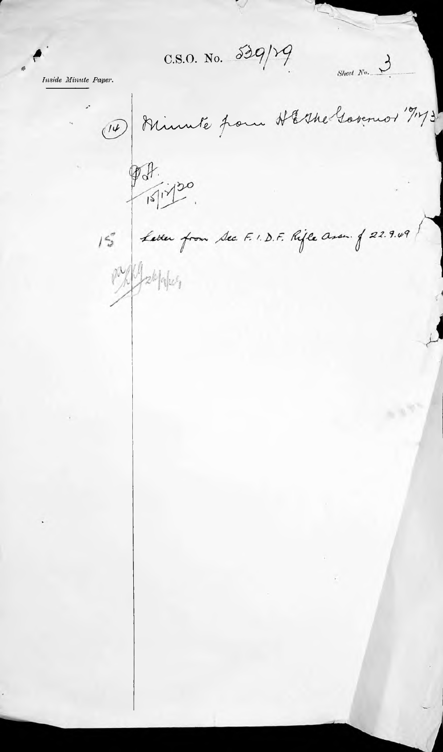$C.S.O.$  No.  $59/19$ 

*Inside Minute Paper*.

r

*4*

Sheet  $N_0$ . Minute from HEshe Governor 19173  $\begin{picture}(40,4) \put(0,0){\vector(0,1){10}} \put(15,0){\vector(0,1){10}} \put(15,0){\vector(0,1){10}} \put(15,0){\vector(0,1){10}} \put(15,0){\vector(0,1){10}} \put(15,0){\vector(0,1){10}} \put(15,0){\vector(0,1){10}} \put(15,0){\vector(0,1){10}} \put(15,0){\vector(0,1){10}} \put(15,0){\vector(0,1){10}} \put(15,0){\vector(0,1){10}} \put(15,0){\vector(0,$  $97.20$ 15 Letter from Sec. F. I.D.F. Rifle assum of 22.9.49 px / palapus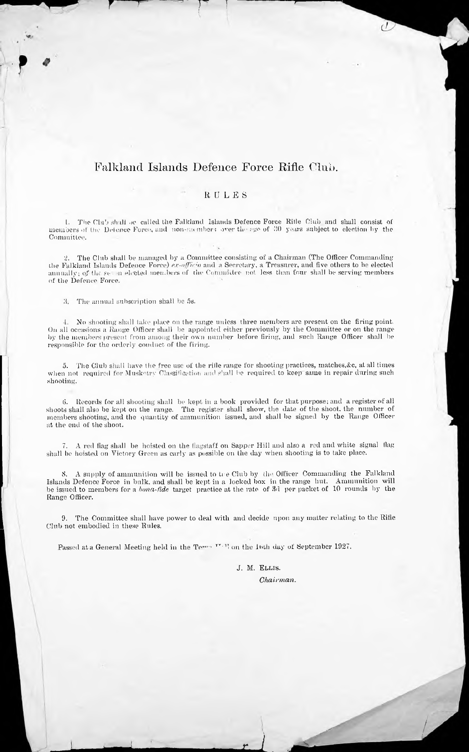## Falkland Islands Defence Force Rifle Club.

## RULES

1. The Club shall ne called the Falkland Islands Defence Force Hilie Club and shall consist of members of the Defence Force, and non-members over the ago of  $30\,$  years subject to election by the Committee.

2. The Club shall be managed by a Committee consisting of a Chairman (The Officer Commanding the Falkland Islands Defence Force) *e.r-nffic;o* and a Secretary, a Treasurer, and five others to he elected annually; of the set in elected members of the Committee not less than four shall be serving members of the Defence Force.

3. The annual subscription shall be 5s.

 $\overline{r}$ 

**r <sup>i</sup>** *'*

—r

•1. No shooting shall take place on the range unless three members are present on the firing point. On all occasions a Range Officer shall be appointed either previously by the Committee or on the range by the members present from among their own number before firing, and such Range Officer shall be responsible for the orderly conduct of the firing.

5. The Club shall have the free use of the rifle range for shooting practices, matches,&c, at all times when not required for Musketry Classification and shall be required to keep same in repair during such shooting.

t). Records for all shooting shall be kept in a book provided for that purpose; and a register of all shoots shall also be kept on the range. The register shall show, the date of the shoot, the number of members shooting, and the quantity of ammunition issued, and shall be signed by the Range Officer at the end of the shoot.

7. A red flag shall be hoisted on the flagstaff on Sapper Hill and also a red and white signal flag shall be hoisted on Victory Green as early as possible on the day when shooting is to take place.

8. A supply of ammunition will be issued to ti e Club by the Officer Commanding the Falkland Islands Defence Force in bulk, and shall be kept in a locked box in the range hut. Ammunition will be issued to members for a *bona-fide* target practice at the rate of 3d per packet of 10 rounds by the Range Officer.

9. The Committee shall have power to deal with and decide upon any matter relating to the Rifle Club not embodied in these Rules.

Passed at a General Meeting held in the Term  $T^{r+1}$  on the 10th day of September 1927.

J. M. Ellis. *Chairman.*

*<sup>L</sup>* **L,**

*/*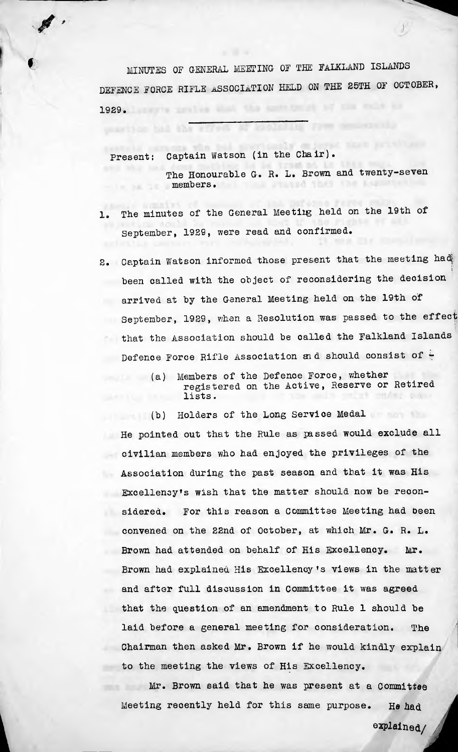MINUTES OF GENERAL MEETING OF THE FALKLAND ISLANDS DEFENCE FORCE RIFLE ASSOCIATION HELD ON THE 25TH OF OCTOBER, 1929.

Captain Watson (in the Chair). present:

ungetion had the

*\**

The Honourable G. R. L. Brown and twenty-seven members. **Assistant** 

**J**

- 1. The minutes of the General Meeting held on the 19th of September, 1929, were read and confirmed.
- 2. Captain Watson informed those present that the meeting had *\* been called with the object of reconsidering the decision arrived at by the General Meeting held on the 19th of September, 1929, when <sup>a</sup> Resolution was passed to the effect that the Association should be called the Falkland Islands Defence Force Rifle Association and should consist of  $\div$ 
	- (a) Members of the Defence Force, whether registered on the Active, Reserve or Retired lists.

(b) Holders of the Long Service Medal He pointed out that the Rule as passed would exclude all civilian members who had enjoyed the privileges of the Association during the past season and that it was His Excellenoyfs wish that the matter should now be reconsidered. For this reason a Committee Meeting had been convened on the 22nd of October, at which Mr. G. R. L. Brown had attended on behalf of His Excellency. Mr. Brown had explained His Excellency fs views in the matter and after full discussion in Committee it was agreed that the question of an amendment to Rule 1 should be laid before <sup>a</sup> general meeting for consideration. **.** The Chairman then asked Mr. Brown if he would kindly explain to the meeting the views of His Excellency.

Mr. Brown said that he was present at a Committee Meeting recently held for this same purpose. He had explained/

*a*

*<i><u><i><b> w*</u>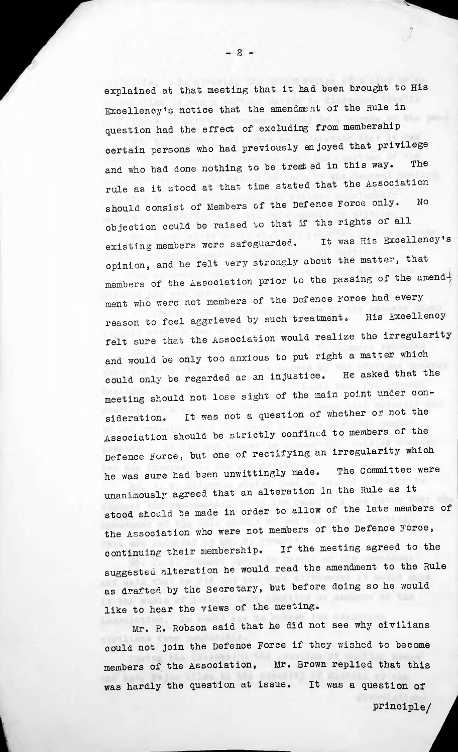explained at that meeting that it had been brought to His Excellency's notice that the amendment of the Rule in question had the effect of excluding from membership certain persons who had previously enjoyed that privilege The and who had done nothing to be treated in this way. rule as it stood at that time stated that the Association should consist of Members of the Defence Force only. No objection could be raised to that if the rights of all existing members were safeguarded, opinion, and he felt very strongly about the matter, that members of the Association prior to the passing of the amend $\frac{1}{2}$ ment who were not members of the Defence Force had every His Excellency It was His Excellency's reason to feel aggrieved by such treatment. felt sure that the Association would realize the irregularity and would be only too anxious to put right a matter which He asked that the could only be regarded as an injustice, meeting should not lose sight of the main point under consideration. It was not a question of whether or not the Association should be strictly confined to members of the Defence Force, but one of rectifying an irregularity which The Committee were he was sure had been unwittingly made. unanimously agreed that an alteration in the Rule as it stood should be made in order to allow of the late members of the Association who were not members of the Defence Force, continuing their membership. suggested alteration he would read the amendment to the Rule as drafted by the Secretary, but before doing so he would If the meeting agreed to the like to hear the views of the meeting.

Mr. R. Robson said that he did not see why civilians could not join the Defence Force if they wished to become members of the Association, Mr. Brown replied that this was hardly the question at issue. It was a question of *j*

*i*

 $-2-$ 

• ^

principle/

;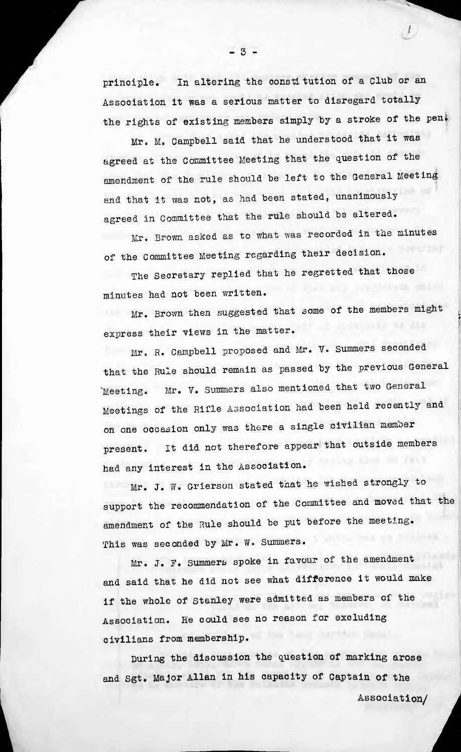principle. In altering the constitution of a Club or an Association it was <sup>a</sup> serious matter to disregard totally the rights of existing members simply by a stroke of the pen $\frac{1}{2}$ 

/

*f*

Mr. M. Campbell said that he understood that it was agreed at the Committee Meeting that the question of the amendment of the rule should be left to the General Meeting and that it was not, as had been stated, unanimously agreed in Committee that the rule should be altered.

Mr. Brown asked as to what was recorded in the minutes of the Committee Meeting regarding their decision.

The Secretary replied that he regretted that those minutes had not been written.

Mr. Brown then suggested that some of the members might express their views in the matter.

Mr. R. Campbell proposed and Mr. V. Summers seconded that the Rule should remain as passed by the previous General Meeting. Mr. V. Summers also mentioned that two General Meetings of the Rifle Association had been held recently and on one occasion only was there a single civilian member present. It did not therefore appear that outside members had any interest in the Association.

Mr. J. W. Grierson stated that he wished strongly to support the recommendation of the Committee and moved that the amendment of the Rule should be put before the meeting. This was seconded by Mr. W. Summers.

Mr. J. F. Summers spoke in favour of the amendment and said that he did not see what difference it would make if the whole of Stanley were admitted as members of the Association. He could see no reason for excluding civilians from membership.

During the discussion the question of marking arose and Sgt. Major Allan in his capacity of Captain of the

*i*

Association/

 $-3-$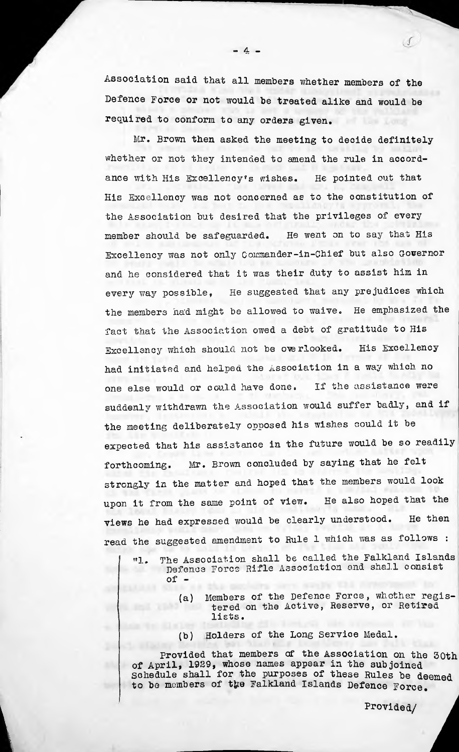Association said that all members whether members of the Defence Force or not would be treated alike and would be required to conform to any orders given.

Mr. Brown then asked the meeting to decide definitely whether or not they intended to amend the rule in accord-He pointed out that His Excellency was not concerned as to the constitution of the Association but desired that the privileges of every He went on to say that His ance with His Excellency's wishes. member should be safeguarded. Excellency was not only Commander-in-Chief but also Governor and he considered that it was their duty to assist him in He suggested that any prejudices which He emphasized the every way possible, the members ha'd might be allowed to waive, fact that the Association owed a debt of gratitude to His Excellency which should not be overlooked. His Excellency had initiated and helped the Association in a way which no one else would or could have done, If the assistance were suddenly withdrawn the Association would suffer badly, and if the meeting deliberately opposed his wishes could it be expected that his assistance in the future would be so readily forthcoming. Mr. Brown concluded by saying that he felt strongly in the matter and hoped that the members would look He also hoped that the He then upon it from the same point of view, views he had expressed would be clearly understood. read the suggested amendment to Rule <sup>1</sup> which was as follows :

- "1. The Association shall be called the Falkland Islands Defence Force Rifle Association and shall consist of
	- (a) Members of the Defence Force, whether registered on the Active, Reserve, or Retired lists.
	- (b) Holders of the Long Service Medal.

Provided that members of the Association on the 50th of April, 1929, whose names appear in the subjoined Schedule shall for the purposes of these Rules be deemed to be members of the Falkland Islands Defence Force. Schedule shall for the purposes of these Rules be deemed<br>to be members of the Falkland Islands Defence Force.<br>Provided/

Provided/

 $- 4 -$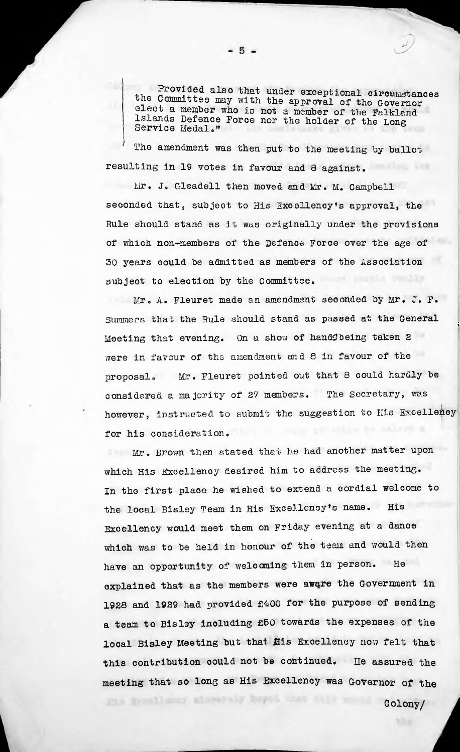Provided also that under exceptional circumstances the Committee may with the approval of the Governor elect a member who is not a member of the Falkland Islands Defence Force nor the holder of the Long Service Medal."

The amendment was then put to the meeting by ballot resulting in <sup>19</sup> votes in favour and <sup>Q</sup> against.

Mr. J. Gleadell then moved and Mr. M. Campbell seconded that, subject to His Excellency's approval, the Rule should stand as it was originally under the provisions of which non-members of the Defenoe Force over the age of 30 years could be admitted as members of the Association subject to election by the Committee.

 $Mr$ . A. Fleuret made an amendment seconded by Mr. J. F. Summers that the Rule should stand as passed at the General Meeting that evening. On a show of handfbeing taken 2 were in favour of the amendment and <sup>Q</sup> in favour of the proposal. Mr. Fleuret pointed out that 8 could hardly be considered a majority of 27 members. The Secretary, was however, instructed to submit the suggestion to His Excellency for his consideration.

Mr. Brown then stated that he had another matter upon which His Excellency desired him to address the meeting. In the first place he wished to extend <sup>a</sup> cordial welcome to the local Bisley Team in His Excellency's name. His Excellency would meet them on Friday evening at a dance which was to be held in honour of the team and would then have an opportunity of welcoming them in person. He explained that as the members were aware the Government in 1928 and <sup>1929</sup> had provided £400 for the purpose of sending <sup>a</sup> team to Bisley including £50 towards the expenses of the local Bisley Meeting but that flis Excellency now felt that this contribution could not be continued. He assured the meeting that so long as His Excellency was Governor of the

Fis Woodlaner admosphy huped

*[*

Colony/

 $\frac{1}{2}$ 

;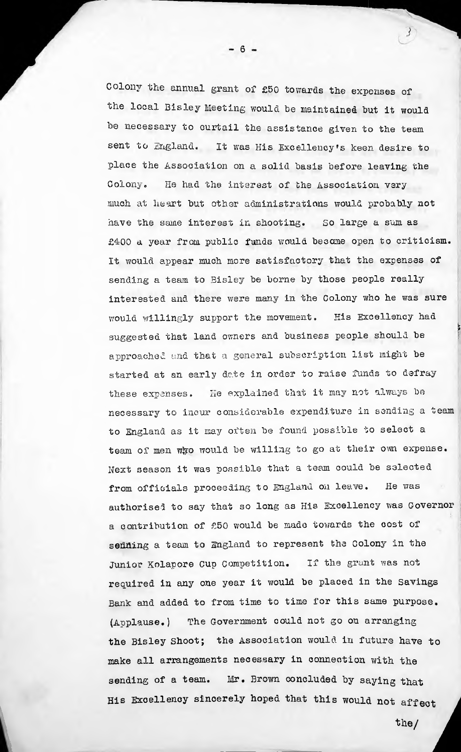Colony the annual grant of £50 towards the expenses of the local Bisley Meeting would be maintained but it would be necessary to curtail the assistance given to the team sent to England, It was His Excellency's keen desire to place the Association on a solid basis before leaving the Colony. He had the interest of the Association very much at heart but other administrations would probably not have the same interest in shooting. So large a sum as £400 a year from public funds would became open to criticism. It would appear much more satisfactory that the expenses of sending a team to Bisley be borne by those people really interested and there were many in the Colony who he was sure His Excellency had would willingly support the movement. suggested that land owners end business people should be approached and that <sup>a</sup> general subscription list might be started at an early date in order to raise funds to defray these expenses. He explained that it may not always be necessary to incur considerable expenditure in sending a team to England as it may often be found possible to select <sup>a</sup> team of men who would be willing to go at their own expense. Next season it was possible that a team could be selected from officials proceeding to England on leave. authorised to say that so long as His Excellency was Governor a contribution of £50 would be made towards the cost of sedding a team to England to represent the Colony in the Junior Kolapore Cup Competition. If the grant was not required in any one year it would be placed in the Savings Bank and added to from time to time for this same purpose. (Applause.) the Bisley Shoot; the Association would in future have to make all arrangements necessary in connection with the sending of a team. Mr. Brown concluded by saying that His Excellency sincerely hoped that this would not affect He was The Government could not go on arranging *i*

*\*

 $-6 -$ 

the/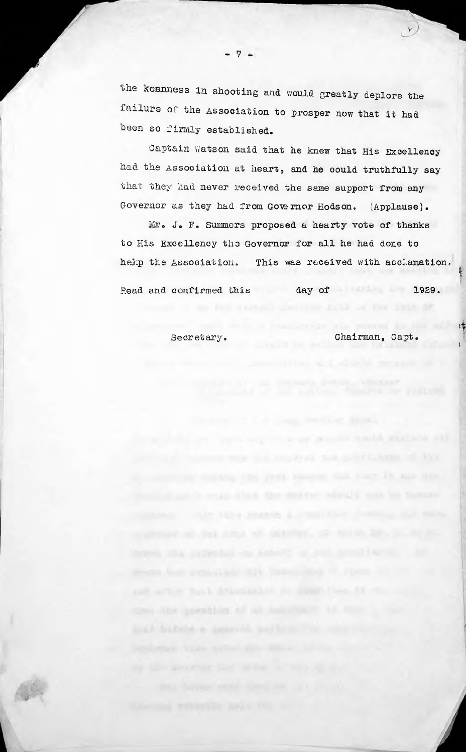the keanness in shooting and would greatly deplore the failure of the Association to prosper now that it had been so firmly established.

Captain Watson said that he knew that His Excellency had the Association at heart, and he could truthfully say that they had never received the same support from any Governor as they had from Governor Hodson. (Applause).

Mr. J. F. Summers proposed a hearty vote of thanks to His Excellency the Governor for all he had done to help the Association. This was received with acclamation.

Read and confirmed this day of 1929.

Secretary.

they the speaking of all says

Chairman, Capt.

to the country and the first of the country of the

by your summer that they in any time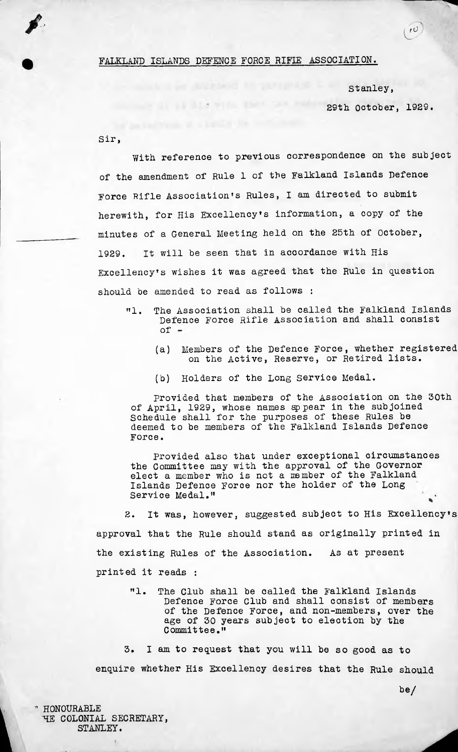FALKLAND ISLANDS DEFENCE FORCE RIFIE ASSOCIATION.

THE R.L. P. WELLS

Stanley, 29th October, 1929.

 $\boldsymbol{v}$ 

Sir,

With reference to previous correspondence on the subject of the amendment of Rule 1 of the Falkland Islands Defence Force Rifle Association's Rules, I am directed to submit herewith, for His Excellency's information, <sup>a</sup> copy of the minutes of a General Meeting held on the 25th of October, 1929. It will be seen that in accordance with His Excellency's wishes it was agreed that the Rule in question should be amended to read as follows :

- The Association shall be called the Falkland Islands Defence Force Rifle Association and shall consist "1.  $of -$ 
	- (a) Members of the Defence Force, whether registered on the Active, Reserve, or Retired lists.
	- (b) Holders of the Long service Medal.

provided that members of the Association on the 30th of April, 1929, whose names appear in the subjoined Schedule shall for the purposes of these Rules be deemed to be members of the Falkland Islands Defence Force.

provided also that under exceptional circumstances the Committee may with the approval of the Governor elect a member who is not a member of the Falkland Islands Defence Force nor the holder of the Long Service Medal." \*

It was, however, suggested subject to His Excellency's approval that the Rule should stand as originally printed in As at present 2. the existing Rules of the Association. printed it reads :

The Club shall be called the Falkland Islands Defence Force Club and shall consist of members of the Defence Force, and non-members, over the age of 30 years subject to election by the Committee." "1.

I am to request that you will be so good as to enquire whether His Excellency desires that the Rule should 3.

" HONOURABLE HE COLONIAL SECRETARY, STANLEY.

be/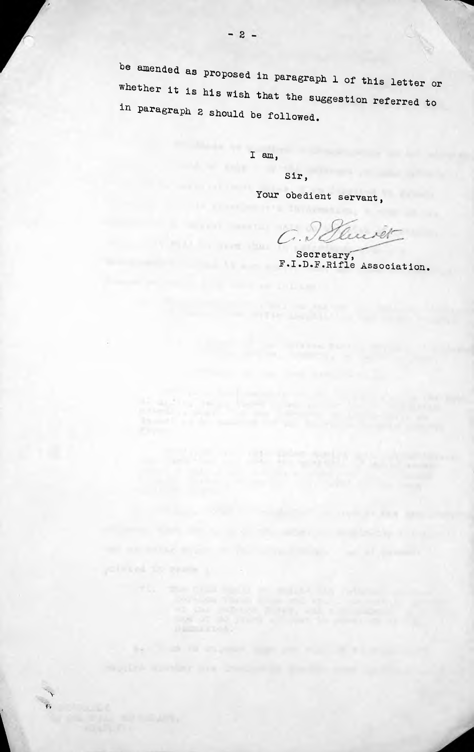be amended as proposed in paragraph 1 of this letter or whether it is his wish that the suggestion referred to in paragraph <sup>2</sup> should be followed.

I am,

the second company of the

be to see in an engineer, many pair, when the a

v **f-v**

*i*

Sir,

Your obedient servant,

 $C.\mathcal{Q}$ wer

Secretary, F.I.D.F.Rifle Association.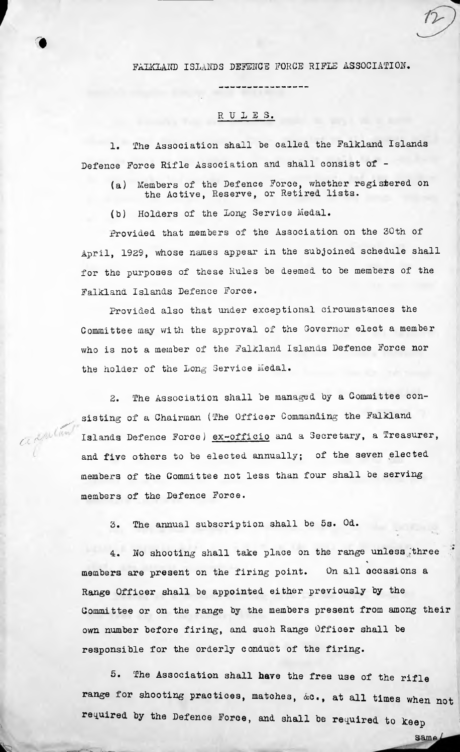## FAIKLAND ISLANDS DEFENCE FORCE RIFLE ASSOCIATION.

## RULES.

1. The Association shall be called, the Falkland Islands Defence Force Rifle Association and shall consist of -

- (a) Members of the Defence Force, whether registered on the Active, Reserve, or Retired lists.
- (b) Holders of the Long Service Medal.

*f*

0

>■

 $\alpha$ <sup>n</sup>.

 $\mathbf{a}$ 

Provided that members of the Association on the 30th of April, 1929, whose names appear in the subjoined schedule shall for the purposes of these Rules be deemed to be members of the Falkland Islands Defence Force.

Provided also that under exceptional circumstances the Committee may with the approval of the Governor elect a member who is not <sup>a</sup> member of the Falkland Islands Defence Force nor the holder of the Long Service Medal.

2. The Association shall be managed by <sup>a</sup> Committee consisting of <sup>a</sup> Chairman (The Officer Commanding the Falkland Islands Defence Force) ex-officio and <sup>a</sup> Secretary, <sup>a</sup> Treasurer, and five others to be elected annually; of the seven elected members of the Committee not less than four shall oe serving members of the Defence Force.

2. The annual subscription shall be 5s. Od.

4. No shooting shall take place on the range unless three \* members are present on the firing point. On all occasions <sup>a</sup> Range Officer shall be appointed either previously by the Committee or on the range by the members present from among their own number before firing, and such Range Officer shall be responsible for the orderly conduct of the firing.

5. The Association shall have the free use of the rifle range for shooting practices, matches, &c., at all times when not required by the Defence Force, and shall be required to keep

same/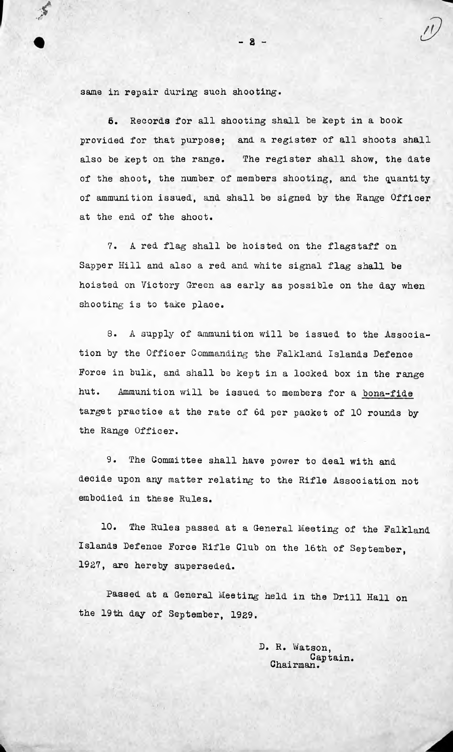same in repair during such shooting.

**6.** Records for all shooting shall be kept in a book provided for that purpose; and a register of all shoots shall The register shall show, the date also be kept on the range, of the shoot, the number of members shooting, and the quantity of ammunition issued, and shall be signed by the Range Officer at the end of the shoot.

 $-8 -$ 

7. A red flag shall be hoisted on the flagstaff on Sapper Hill and also <sup>a</sup> red and white signal flag shall be hoisted on Victory Green as early as possible on the day when shooting is to take place.

8. <sup>A</sup> supply of ammunition will be issued to the Association by the Officer Commanding the Falkland Islands Defence Force in bulk, and shall be kept in a locked box in the range hut. Ammunition will be issued to members for <sup>a</sup> bona-fide target practice at the rate of 6d per packet of 10 rounds by the Range Officer.

9. The Committee shall have power to deal with and decide upon any matter relating to the Rifle Association not embodied in these Rules.

10. The Rules passed at a General Meeting of the Falkland Islands Defence Force Rifle Club on the 16th of September, 1927, are hereby superseded.

Passed at <sup>a</sup> General Meeting held in the Drill Hall on the 19th day of September, 1929.

> D. R. Watson, Captain. Chairman.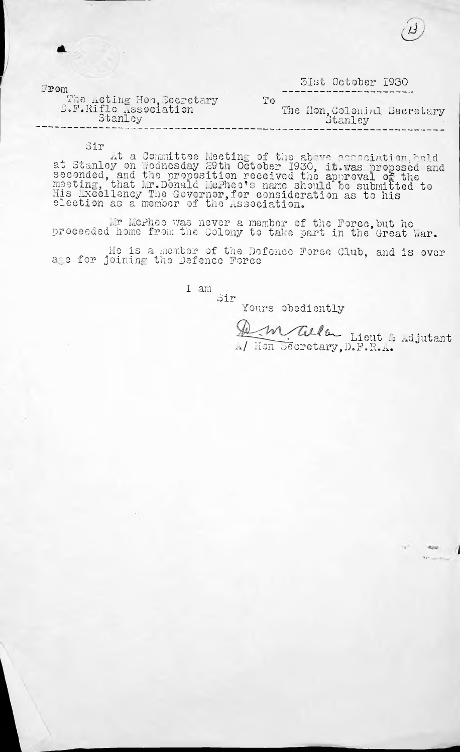| $\mathbb{F}\mathbf{T}$ om                          | 3Ist October 1930                      |
|----------------------------------------------------|----------------------------------------|
| The Acting Hon, Secretary<br>D.F.Rifle Association | Τo                                     |
| Stanley                                            | The Hon, Colonial Secretary<br>Stanley |

Sir

*{*

At a Committee Meeting of the above association, held<br>at Stanley on Wednesday 29th October 1930, it.was proposed and<br>seconded and the proposition received the sprancy of the seconded, and the proposition received the approval of the<br>meeting, that Mr.Donald McPhee's name should be submitted to His excellency The Governor,for consideration as to his election as a member of the Association.

Mr Mcphee was never a member of the Force,but he proceeded home from the Colony to take part in the Great War.

He is a inember of the Defence Force Club, age for joining the Defence Force and is over

> I am Sir

Yours obediently

 $M$  alla Lieut & Adjutant A/ Hon Secretary,D.F.R**v.®**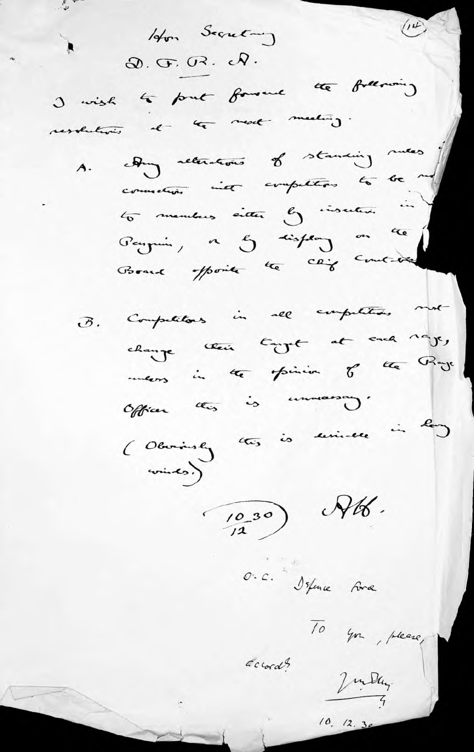Hon Secretary  $\blacktriangleright$  $Q. G. G. Q.$ I wish to put forward the following ressentions et les medias. A. Any reterations of standing mess connection int computing to be my to members eiter & insulare in Penguin, on I dispense on the Computations in all computations must  $\mathcal{B}$  . change their tagget at each rage, meens in the family of the Proje Officer this is unmaning. (Obving this is serived in Roy  $rac{1}{\sqrt{2}}$  $(10.30)$  RK. O.C. Isfance Force To you, please,  $ccord$ Jun Day.  $10, 12, 30$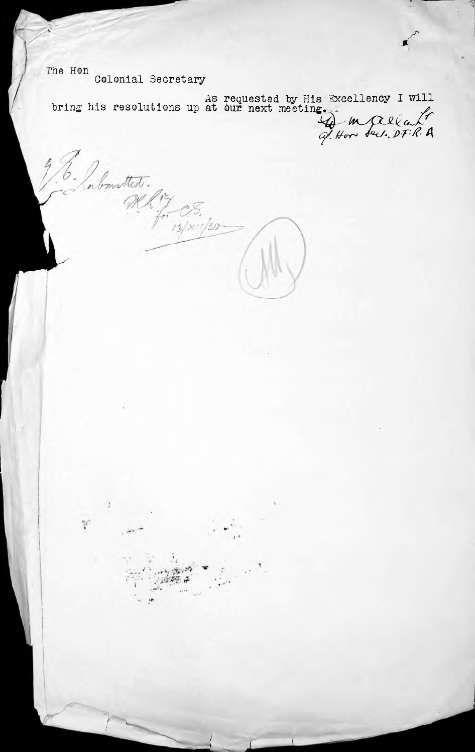The Hon Colonial Secretary

Imstted.

 $\overline{\phantom{a}}$ 

٠h

ŗ

As requested by His Excellency I will bring his resolutions up at  $\overrightarrow{our}$  next meeting. Excellency I *7> Gft*

 $\frac{cS}{\frac{N}{2}}$ 

*%*